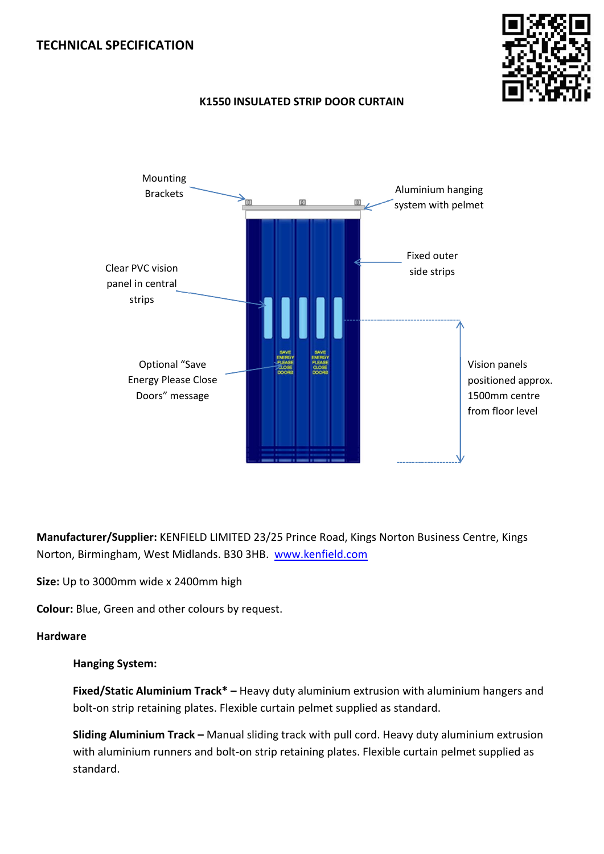## **TECHNICAL SPECIFICATION**





# **K1550 INSULATED STRIP DOOR CURTAIN**

**Manufacturer/Supplier:** KENFIELD LIMITED 23/25 Prince Road, Kings Norton Business Centre, Kings Norton, Birmingham, West Midlands. B30 3HB. www.kenfield.com

**Size:** Up to 3000mm wide x 2400mm high

**Colour:** Blue, Green and other colours by request.

## **Hardware**

## **Hanging System:**

**Fixed/Static Aluminium Track\* –** Heavy duty aluminium extrusion with aluminium hangers and bolt-on strip retaining plates. Flexible curtain pelmet supplied as standard.

**Sliding Aluminium Track –** Manual sliding track with pull cord. Heavy duty aluminium extrusion with aluminium runners and bolt-on strip retaining plates. Flexible curtain pelmet supplied as standard.